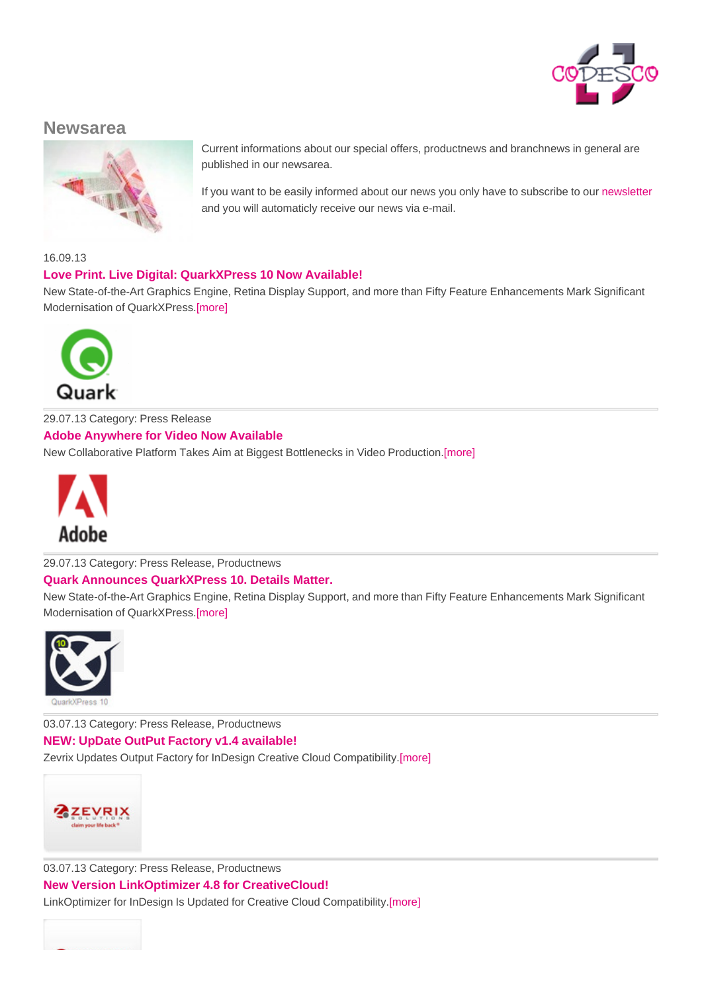

# **Newsarea**



Current informations about our special offers, productnews and branchnews in general are published in our newsarea.

If you want to be easily informed about our news you only have to subscribe to our newsletter and you will automaticly receive our news via e-mail.

16.09.13

## **Love Print. Live Digital: QuarkXPress 10 Now Available!**

New State-of-the-Art Graphics Engine, Retina Display Support, and more than Fifty Feature Enhancements Mark Significant Modernisation of QuarkXPress.[more]



29.07.13 Category: Press Release **Adobe Anywhere for Video Now Available**

New [Collaborative](http://www.codesco.com/en/no_cache/news/news-detail/article//quarkxpress-17.html) Platform Takes Aim at Biggest Bottlenecks in Video Production.[more]



29.07.13 Category: Press Release, Productnews

#### **Quark Announces QuarkXPress 10. Details Matter.**

New [State-of-the](http://www.codesco.com/en/no_cache/news/news-detail/article//adobe-anywhe.html)-Art Graphics Engine, Retina Display Support, and more than Fifty Feature Enhancements Mark Significant Modernisation of QuarkXPress.[more]



03.07.13 Category: Press Release, Productnews **NEW: [UpDate](http://www.codesco.com/en/no_cache/news/news-detail/article//quark-kuendi-1.html) OutPut Factory v1.4 available!**

Zevrix Updates Output Factory for InDesign Creative Cloud Compatibility.[more]



03.07.13 Category: Press Release, Productnews

**New Version LinkOptimizer 4.8 for CreativeCloud!**

[LinkOptimizer](http://www.codesco.com/en/no_cache/news/news-detail/article//neu-update.html) for InDesign Is Updated for Creative Cloud Compatibility.[more]